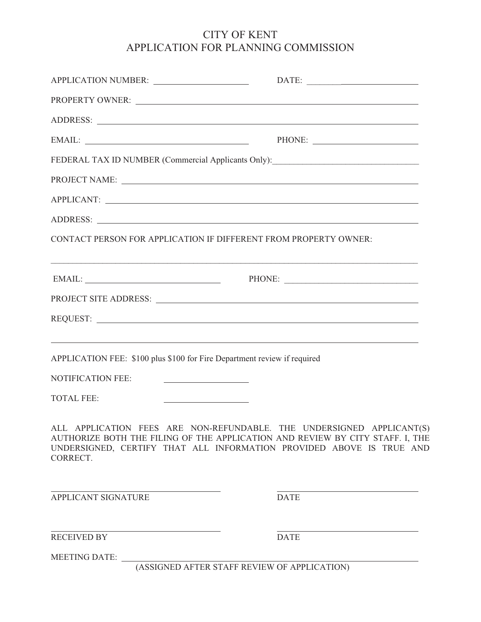# **CITY OF KENT** APPLICATION FOR PLANNING COMMISSION

|                                                                                                                                                                                                                                                                                                                                                                                                                                                   | $\overline{\text{DATE}}$ :                                                                                                                                                                                                     |
|---------------------------------------------------------------------------------------------------------------------------------------------------------------------------------------------------------------------------------------------------------------------------------------------------------------------------------------------------------------------------------------------------------------------------------------------------|--------------------------------------------------------------------------------------------------------------------------------------------------------------------------------------------------------------------------------|
|                                                                                                                                                                                                                                                                                                                                                                                                                                                   | PROPERTY OWNER: New York CONSTRUCT AND A STRONG CONSTRUCT ON A STRONG CONSTRUCT OF A STRONG CONSTRUCT OF A STRONG CONSTRUCT OF A STRONG CONSTRUCT OF A STRONG CONSTRUCT OF A STRONG CONSTRUCT OF A STRONG CONSTRUCT OF A STRON |
|                                                                                                                                                                                                                                                                                                                                                                                                                                                   |                                                                                                                                                                                                                                |
|                                                                                                                                                                                                                                                                                                                                                                                                                                                   | PHONE:                                                                                                                                                                                                                         |
|                                                                                                                                                                                                                                                                                                                                                                                                                                                   | FEDERAL TAX ID NUMBER (Commercial Applicants Only):______________________________                                                                                                                                              |
|                                                                                                                                                                                                                                                                                                                                                                                                                                                   | PROJECT NAME: University of the contract of the contract of the contract of the contract of the contract of the contract of the contract of the contract of the contract of the contract of the contract of the contract of th |
|                                                                                                                                                                                                                                                                                                                                                                                                                                                   | APPLICANT:                                                                                                                                                                                                                     |
|                                                                                                                                                                                                                                                                                                                                                                                                                                                   |                                                                                                                                                                                                                                |
| CONTACT PERSON FOR APPLICATION IF DIFFERENT FROM PROPERTY OWNER:                                                                                                                                                                                                                                                                                                                                                                                  |                                                                                                                                                                                                                                |
| $EMAIL: \begin{tabular}{ c c c c } \hline \multicolumn{3}{ c }{EMAIL:} \multicolumn{3}{ c }{\textbf{[}} & \multicolumn{3}{ c }{\textbf{[}} \\ \hline \multicolumn{3}{ c }{\textbf{[}} & \multicolumn{3}{ c }{\textbf{[}} & \multicolumn{3}{ c }{\textbf{[}} \\ \hline \multicolumn{3}{ c }{\textbf{[}} & \multicolumn{3}{ c }{\textbf{[}} & \multicolumn{3}{ c }{\textbf{[}} \\ \hline \multicolumn{3}{ c }{\textbf{[}} & \multicolumn{3}{ c }{\$ | PHONE:                                                                                                                                                                                                                         |
|                                                                                                                                                                                                                                                                                                                                                                                                                                                   |                                                                                                                                                                                                                                |
|                                                                                                                                                                                                                                                                                                                                                                                                                                                   |                                                                                                                                                                                                                                |
|                                                                                                                                                                                                                                                                                                                                                                                                                                                   |                                                                                                                                                                                                                                |
| APPLICATION FEE: \$100 plus \$100 for Fire Department review if required                                                                                                                                                                                                                                                                                                                                                                          |                                                                                                                                                                                                                                |
| <b>NOTIFICATION FEE:</b>                                                                                                                                                                                                                                                                                                                                                                                                                          |                                                                                                                                                                                                                                |
| <b>TOTAL FEE:</b>                                                                                                                                                                                                                                                                                                                                                                                                                                 |                                                                                                                                                                                                                                |
| CORRECT.                                                                                                                                                                                                                                                                                                                                                                                                                                          | ALL APPLICATION FEES ARE NON-REFUNDABLE. THE UNDERSIGNED APPLICANT(S)<br>AUTHORIZE BOTH THE FILING OF THE APPLICATION AND REVIEW BY CITY STAFF. I, THE<br>UNDERSIGNED, CERTIFY THAT ALL INFORMATION PROVIDED ABOVE IS TRUE AND |
| APPLICANT SIGNATURE                                                                                                                                                                                                                                                                                                                                                                                                                               | <b>DATE</b>                                                                                                                                                                                                                    |
| <b>RECEIVED BY</b>                                                                                                                                                                                                                                                                                                                                                                                                                                | <b>DATE</b>                                                                                                                                                                                                                    |
| MEETING DATE: $\frac{1}{(ASSGNED) \text{ AETER STAEF REVIEW}$ OF APPLICATION                                                                                                                                                                                                                                                                                                                                                                      |                                                                                                                                                                                                                                |

(ASSIGNED AFTER STAFF REVIEW OF APPLICATION)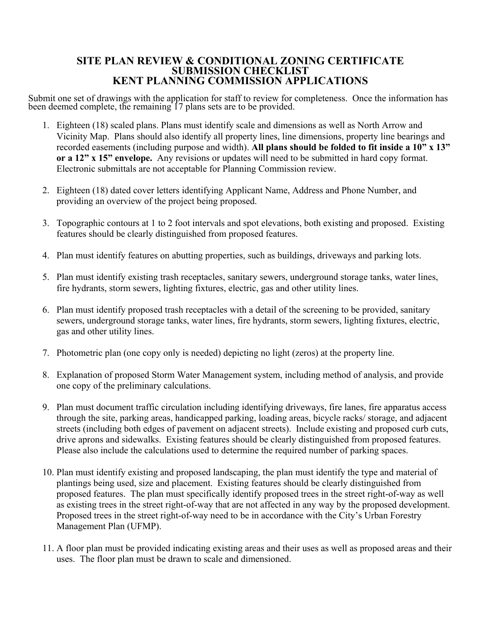### **SITE PLAN REVIEW & CONDITIONAL ZONING CERTIFICATE SUBMISSION CHECKLIST KENT PLANNING COMMISSION APPLICATIONS**

Submit one set of drawings with the application for staff to review for completeness. Once the information has been deemed complete, the remaining 17 plans sets are to be provided.

- 1. Eighteen (18) scaled plans. Plans must identify scale and dimensions as well as North Arrow and Vicinity Map. Plans should also identify all property lines, line dimensions, property line bearings and recorded easements (including purpose and width). **All plans should be folded to fit inside a 10" x 13" or a 12" x 15" envelope.** Any revisions or updates will need to be submitted in hard copy format. Electronic submittals are not acceptable for Planning Commission review.
- 2. Eighteen (18) dated cover letters identifying Applicant Name, Address and Phone Number, and providing an overview of the project being proposed.
- 3. Topographic contours at 1 to 2 foot intervals and spot elevations, both existing and proposed. Existing features should be clearly distinguished from proposed features.
- 4. Plan must identify features on abutting properties, such as buildings, driveways and parking lots.
- 5. Plan must identify existing trash receptacles, sanitary sewers, underground storage tanks, water lines, fire hydrants, storm sewers, lighting fixtures, electric, gas and other utility lines.
- 6. Plan must identify proposed trash receptacles with a detail of the screening to be provided, sanitary sewers, underground storage tanks, water lines, fire hydrants, storm sewers, lighting fixtures, electric, gas and other utility lines.
- 7. Photometric plan (one copy only is needed) depicting no light (zeros) at the property line.
- 8. Explanation of proposed Storm Water Management system, including method of analysis, and provide one copy of the preliminary calculations.
- 9. Plan must document traffic circulation including identifying driveways, fire lanes, fire apparatus access through the site, parking areas, handicapped parking, loading areas, bicycle racks/ storage, and adjacent streets (including both edges of pavement on adjacent streets). Include existing and proposed curb cuts, drive aprons and sidewalks. Existing features should be clearly distinguished from proposed features. Please also include the calculations used to determine the required number of parking spaces.
- 10. Plan must identify existing and proposed landscaping, the plan must identify the type and material of plantings being used, size and placement. Existing features should be clearly distinguished from proposed features. The plan must specifically identify proposed trees in the street right-of-way as well as existing trees in the street right-of-way that are not affected in any way by the proposed development. Proposed trees in the street right-of-way need to be in accordance with the City's Urban Forestry Management Plan (UFMP).
- 11. A floor plan must be provided indicating existing areas and their uses as well as proposed areas and their uses. The floor plan must be drawn to scale and dimensioned.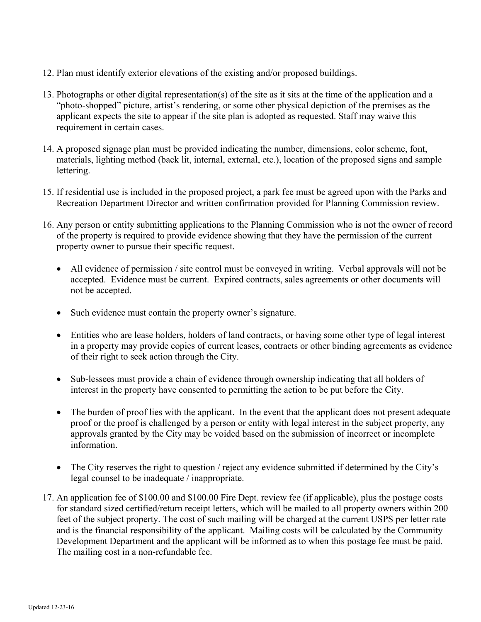- 12. Plan must identify exterior elevations of the existing and/or proposed buildings.
- 13. Photographs or other digital representation(s) of the site as it sits at the time of the application and a "photo-shopped" picture, artist's rendering, or some other physical depiction of the premises as the applicant expects the site to appear if the site plan is adopted as requested. Staff may waive this requirement in certain cases.
- 14. A proposed signage plan must be provided indicating the number, dimensions, color scheme, font, materials, lighting method (back lit, internal, external, etc.), location of the proposed signs and sample lettering.
- 15. If residential use is included in the proposed project, a park fee must be agreed upon with the Parks and Recreation Department Director and written confirmation provided for Planning Commission review.
- 16. Any person or entity submitting applications to the Planning Commission who is not the owner of record of the property is required to provide evidence showing that they have the permission of the current property owner to pursue their specific request.
	- All evidence of permission / site control must be conveyed in writing. Verbal approvals will not be accepted. Evidence must be current. Expired contracts, sales agreements or other documents will not be accepted.
	- Such evidence must contain the property owner's signature.
	- Entities who are lease holders, holders of land contracts, or having some other type of legal interest in a property may provide copies of current leases, contracts or other binding agreements as evidence of their right to seek action through the City.
	- Sub-lessees must provide a chain of evidence through ownership indicating that all holders of interest in the property have consented to permitting the action to be put before the City.
	- The burden of proof lies with the applicant. In the event that the applicant does not present adequate proof or the proof is challenged by a person or entity with legal interest in the subject property, any approvals granted by the City may be voided based on the submission of incorrect or incomplete information.
	- The City reserves the right to question / reject any evidence submitted if determined by the City's legal counsel to be inadequate / inappropriate.
- 17. An application fee of \$100.00 and \$100.00 Fire Dept. review fee (if applicable), plus the postage costs for standard sized certified/return receipt letters, which will be mailed to all property owners within 200 feet of the subject property. The cost of such mailing will be charged at the current USPS per letter rate and is the financial responsibility of the applicant. Mailing costs will be calculated by the Community Development Department and the applicant will be informed as to when this postage fee must be paid. The mailing cost in a non-refundable fee.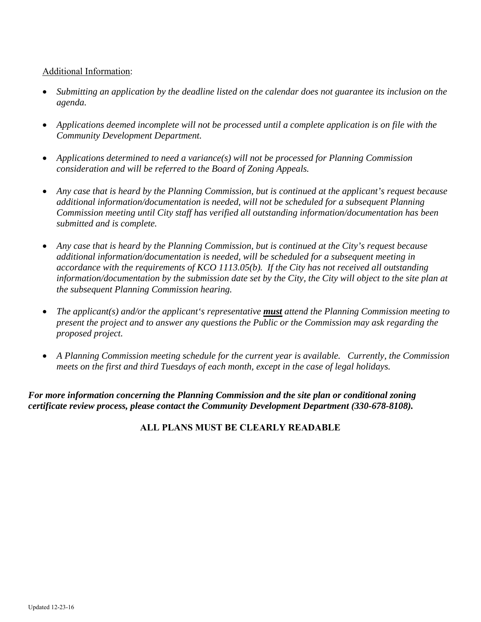## Additional Information:

- *Submitting an application by the deadline listed on the calendar does not guarantee its inclusion on the agenda.*
- *Applications deemed incomplete will not be processed until a complete application is on file with the Community Development Department.*
- *Applications determined to need a variance(s) will not be processed for Planning Commission consideration and will be referred to the Board of Zoning Appeals.*
- *Any case that is heard by the Planning Commission, but is continued at the applicant's request because additional information/documentation is needed, will not be scheduled for a subsequent Planning Commission meeting until City staff has verified all outstanding information/documentation has been submitted and is complete.*
- *Any case that is heard by the Planning Commission, but is continued at the City's request because additional information/documentation is needed, will be scheduled for a subsequent meeting in accordance with the requirements of KCO 1113.05(b). If the City has not received all outstanding information/documentation by the submission date set by the City, the City will object to the site plan at the subsequent Planning Commission hearing.*
- *The applicant(s) and/or the applicant's representative must attend the Planning Commission meeting to present the project and to answer any questions the Public or the Commission may ask regarding the proposed project.*
- *A Planning Commission meeting schedule for the current year is available. Currently, the Commission meets on the first and third Tuesdays of each month, except in the case of legal holidays.*

*For more information concerning the Planning Commission and the site plan or conditional zoning certificate review process, please contact the Community Development Department (330-678-8108).* 

## **ALL PLANS MUST BE CLEARLY READABLE**